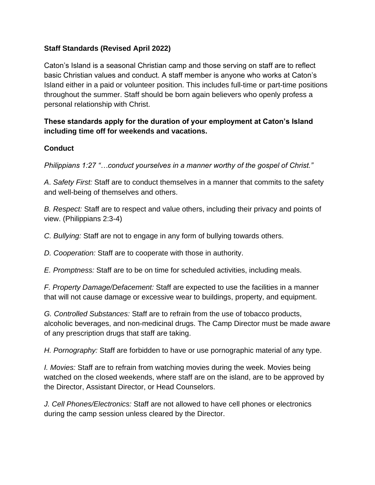### **Staff Standards (Revised April 2022)**

Caton's Island is a seasonal Christian camp and those serving on staff are to reflect basic Christian values and conduct. A staff member is anyone who works at Caton's Island either in a paid or volunteer position. This includes full-time or part-time positions throughout the summer. Staff should be born again believers who openly profess a personal relationship with Christ.

# **These standards apply for the duration of your employment at Caton's Island including time off for weekends and vacations.**

# **Conduct**

*Philippians 1:27 "…conduct yourselves in a manner worthy of the gospel of Christ."*

*A*. *Safety First:* Staff are to conduct themselves in a manner that commits to the safety and well-being of themselves and others.

*B. Respect:* Staff are to respect and value others, including their privacy and points of view. (Philippians 2:3-4)

*C. Bullying:* Staff are not to engage in any form of bullying towards others.

*D. Cooperation:* Staff are to cooperate with those in authority.

*E. Promptness:* Staff are to be on time for scheduled activities, including meals.

*F. Property Damage/Defacement:* Staff are expected to use the facilities in a manner that will not cause damage or excessive wear to buildings, property, and equipment.

*G. Controlled Substances:* Staff are to refrain from the use of tobacco products, alcoholic beverages, and non-medicinal drugs. The Camp Director must be made aware of any prescription drugs that staff are taking.

*H. Pornography:* Staff are forbidden to have or use pornographic material of any type.

*I. Movies:* Staff are to refrain from watching movies during the week. Movies being watched on the closed weekends, where staff are on the island, are to be approved by the Director, Assistant Director, or Head Counselors.

*J. Cell Phones/Electronics:* Staff are not allowed to have cell phones or electronics during the camp session unless cleared by the Director.